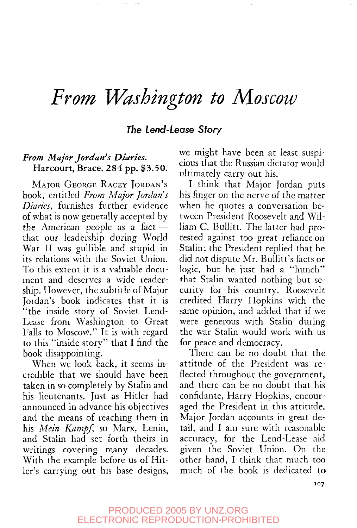## *From Washington to Moscow*

## The Lend-Lease Story

## *From Major Jordan's Diaries.* Harcourt, Brace. 284 pp. \$3.50.

MAJOR GEORGE RACEY JORDAN'S book, entitled *From Major Jordan s Diaries,* furnishes further evidence of what is now generally accepted by the American people as a fact that our leadership during World War II was gullible and stupid in its relations with the Soviet Union. To this extent it is a valuable document and deserves a wide readership. However, the subtitle of Major Jordan's book indicates that it is "the inside story of Soviet Lend-Lease from Washington to Great Falls to Moscow." It is with regard to this "inside story" that I find the book disappointing.

When we look back, it seems incredible that we should have been taken in so completely by Stalin and his lieutenants. Just as Hitler had announced in advance his objectives and the means of reaching them in his *Mem Kampf,* so Marx, Lenin, and Stalin had set forth theirs in writings covering many decades. With the example before us of Hitler's carrying out his base designs, we might have been at least suspicious that the Russian dictator would ultimately carry out his.

I think that Major Jordan puts his finger on the nerve of the matter when he quotes a conversation between President Roosevelt and William C. Bullitt. The latter had protested against too great reliance on Stalin; the President replied that he did not dispute Mr. Bullitt's facts or logic, but he just had a "hunch" that Stalin wanted nothing but security for his country. Roosevelt credited Harry Hopkins with the same opinion, and added that if we were generous with Stalin during the war Stalin would work with us for peace and democracy.

There can be no doubt that the attitude of the President was reflected throughout the government, and there can be no doubt that his confidante, Harry Hopkins, encouraged the President in this attitude. Major Jordan accounts in great detail, and I am sure with reasonable accuracy, for the Lend-Lease aid given the Soviet Union. On the other hand, I think that much too much of the book is dedicated to

PRODUCED 2005 BY UNZ.ORG ELECTRONIC REPRODUCTION PROHIBITED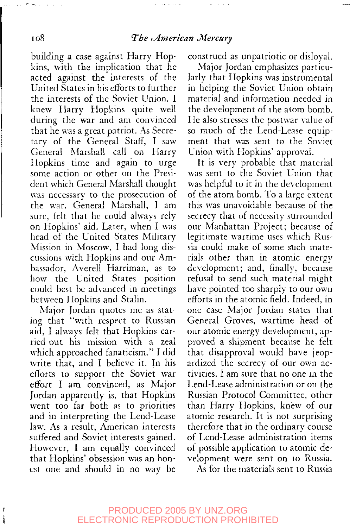#### io8 *The ^American Mercury*

building a case against Harry Hopkins, with the implication that he acted against the interests of the United States in his efforts to further the interests of the Soviet Union. I knew Harry Hopkins quite well during the war and am convinced that he was a great patriot. As Secretary of the General Staff, I saw General Marshall call on Harry Hopkins time and again to urge some action or other on the President which General Marshall thought was necessary to the prosecution of the war. General Marshall, I am sure, felt that he could always rely on Hopkins' aid. Later, when I was head of the United States Military Mission in Moscow, I had long discussions with Hopkins and our Ambassador, Averell Harriman, as to how the United States position could best be advanced in meetings between Hopkins and Stalin.

Major Jordan quotes me as stating that "with respect to Russian aid, I always felt that Hopkins carried out his mission with a zeal which approached fanaticism." I did write that, and I beh'eve it. In his efforts to support the Soviet war effort I am convinced, as Major Jordan apparently is, that Hopkins went too far both as to priorities and in interpreting the Lend-Lease law. As a result, American interests suffered and Soviet interests gained. However, I am equally convinced that Hopkins' obsession was an honest one and should in no way be

i<br>Saari

construed as unpatriotic or disloyal.

Major Jordan emphasizes particularly that Hopkins was instrumental in helping the Soviet Union obtain material and information needed in the development of the atom bomb. He also stresses the postwar value of so much of the Lend-Lease equipment that was sent to the Soviet Union with Hopkins' approval.

It is very probable that material was sent to the Soviet Union that was helpful to it in the development of the atom bomb. To a large extent this was unavoidable because of the secrecy that of necessity surrounded our Manhattan Project; because of legitimate wartime uses which Russia could make of some such materials other than in atomic energy development; and, finally, because refusal to send such material might have pointed too sharply to our own efforts in the atomic field. Indeed, in one case Major Jordan states that General Groves, wartime head of our atomic energy development, approved a shipment because he felt that disapproval would have jeopardized the secrecy of our own activities. I am sure that no one in the Lend-Lease administration or on the Russian Protocol Committee, other than Harry Hopkins, knew of our atomic research. It is not surprising therefore that in the ordinary course of Lend-Lease administration items of possible application to atomic development were sent on to Russia.

As for the materials sent to Russia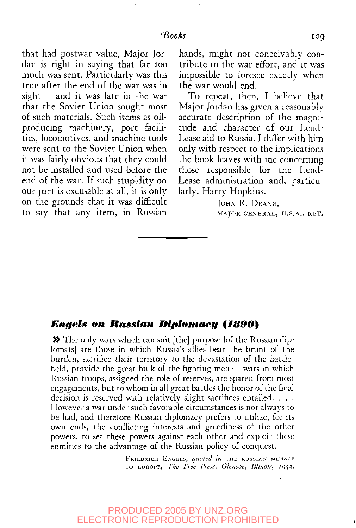that had postwar value, Major Jordan is right in saying that far too much was sent. Particularly was this true after the end of the war was in sight—and it was late in the war that the Soviet Union sought most of such materials. Such items as oilproducing machinery, port facilities, locomotives, and machine tools were sent to the Soviet Union when it was fairly obvious that they could not be installed and used before the end of the war. If such stupidity on our part is excusable at all, it is only on the grounds that it was difficult to say that any item, in Russian

hands, might not conceivably contribute to the war effort, and it was impossible to foresee exactly when the war would end.

To repeat, then, I believe that Major Jordan has given a reasonably accurate description of the magnitude and character of our Lend-Lease aid to Russia. I differ with him only with respect to the implications the book leaves with me concerning those responsible for the Lend-Lease administration and, particularly, Harry Hopkins.

> JOHN R. DEANE, MAJOR GENERAL, U.S.A., RET.

#### *Engels on Russian Diplomacy {MS9O}*

» The only wars which can suit [the] purpose [of the Russian diplomats] are those in which Russia's allies bear the brunt of the burden, sacrifice their territory to the devastation of the battlefield, provide the great bulk of the fighting men  $-$  wars in which Russian troops, assigned the role of reserves, are spared from most engagements, but to whom in all great battles the honor of the final decision is reserved with relatively slight sacrifices entailed. . . . However a war under such favorable circumstances is not always to be had, and therefore Russian diplomacy prefers to utilize, for its own ends, the conflicting interests and greediness of the other powers, to set these powers against each other and exploit these enmities to the advantage of the Russian policy of conquest.

> FKIEDRICH ENGELS, *quoted in* THE RUSSIAN MENACE TO EUROPE, *The Free Press, Glencoe, Illinois, 1952.*

#### PRODUCED 2005 BY UNZ.ORG ELECTRONIC REPRODUCTION PROHIBITED